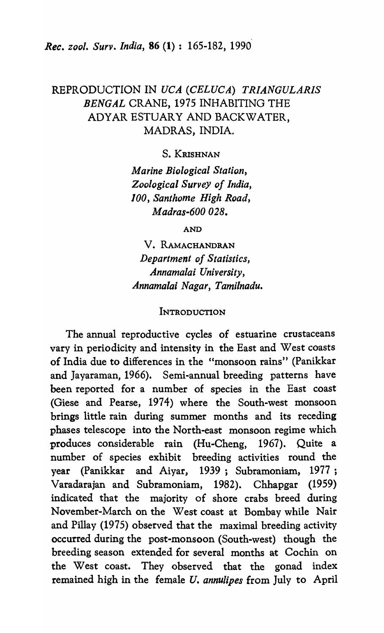# REPRODUCTION IN *UCA (CELUCA) TRIANGULARIS BENGAL* CRANE, 1975 INHABITING THE ADYAR ESTUARY AND BACKWATER, MADRAS, INDIA.

S. KRISHNAN

*Marine Biological Station, Zoological Survey of India, 100, Santhome High Road, Madras-600 028.* 

AND

V. RAMACHANDRAN *Department of Statistics, Annamalai University, Annamalai Nagar, Tamilnadu.* 

#### **INTRODUCTION**

The annual reproductive cycles of estuarine crustaceans vary in periodicity and intensity in the East and West coasts of India due to differences in the "monsoon rains" (Panikkar and Jayaraman, 1966). Semi-annual breeding patterns have been reported for a number of species in the East coast (Giese and Pearse, 1974) where the South-west monsoon brings little rain during summer months and its receding phases telescope into the North-east monsoon regime which produces considerable rain (Hu-Cheng, 1967). Quite a number of species exhibit breeding activities round the year (Panikkar and Aiyar, 1939; Subramoniam, 1977; Varadarajan and Subramoniam, 1982). Chhapgar (1959) indicated that the majority of shore crabs breed during November-March on the West coast at Bombay while Nair and Pillay (1975) observed that the maximal breeding activity occurred during the post-monsoon (South-west) though the breeding season extended for several months at Cochin on the West coast. They observed that the gonad index remained high in the female U. *annu/ipes* from July to April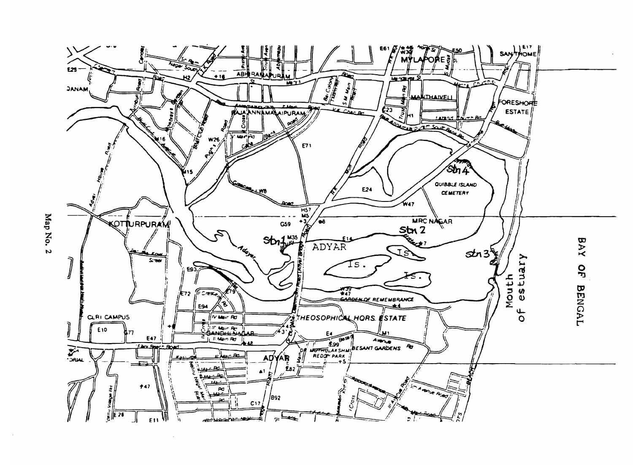

Map No. 2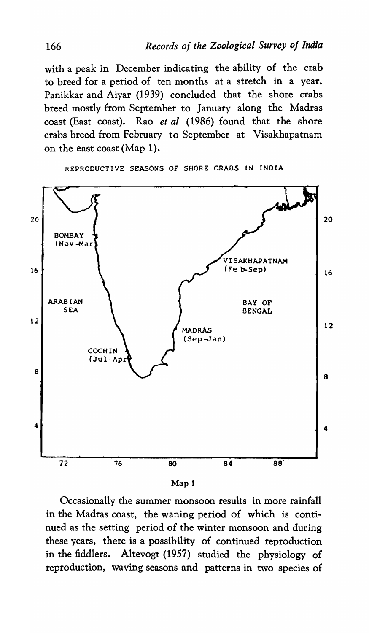with a peak in December indicating the ability of the crab to breed for a period of ten months at a stretch in a year. Panikkar and Aiyar (1939) concluded that the shore crabs breed mostly from September to January along the Madras coast (East coast). Rao *et al* (1986) found that the shore crabs breed from February to September at Visakhapatnam on the east coast (Map 1).

BOMBAY (Nov -Mar VISAKHAPATNAM (Fe b-Sep)

REPRODUCTIVE SEASONS OF SHORE CRABS IN INDIA



Occasionally the summer monsoon results in more rainfall in the Madras coast, the waning period of which is continued as the setting period of the winter monsoon and during these years, there is a possibility of continued reproduction in the fiddlers. Altevogt (1957) studied the physiology of reproduction, waving seasons and patterns in two species of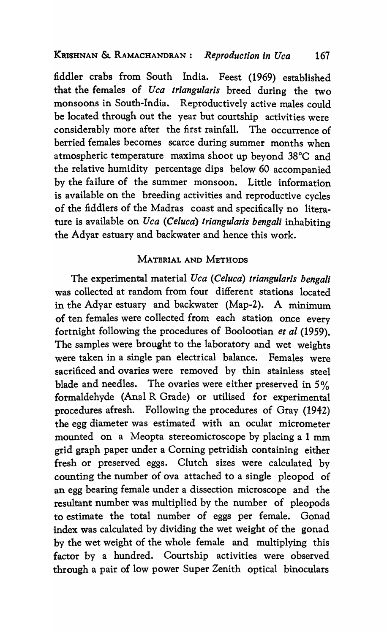### KRISHNAN &. RAMACHANDRAN: *Reproduction in Uca 167*

fiddler crabs from South India. Feest (1969) established that the females of *Uca triangularis* breed during the two monsoons in South-India. Reproductively active males could be located through out the year but courtship activities were considerably more after the first rainfall. The occurrence of berried females becomes scarce during summer months when atmospheric temperature maxima shoot up beyond 38°C and the relative humidity percentage dips below 60 accompanied by the failure of the summer monsoon. Little information is available on the breeding activities and reproductive cycles of the fiddlers of the Madras coast and specifically no literature is available on *Uca (Celuca) triangularis bengali* inhabiting the Adyar estuary and backwater and hence this work.

## MATERIAL AND METHODS

The experimental material *Uca (Celuca) triangularis bengali*  was collected at random from four different stations located in the Adyar estuary and backwater (Map-2). A minimum of ten females were collected from each station once every fortnight following the procedures of Boolootian *et al (1959).*  The samples were brought to the laboratory and wet weights were taken in a single pan electrical balance. Females were sacrificed and ovaries were removed by thin stainless steel blade and needles. The ovaries were either preserved in 5% formaldehyde (Anal R Grade) or utilised for experimental procedures afresh. Following the procedures of Gray (1942) the egg diameter was estimated with an ocular micrometer mounted on a Meopta stereomicroscope by placing a 1 mm grid graph paper under a Corning petridish containing either fresh or preserved eggs. Clutch sizes were calculated by counting the number of ova attached to a single pleopod of an egg bearing female under a dissection microscope and the resultant number was multiplied by the number of pleopods to estimate the total number of eggs per female. Gonad index was calculated by dividing the wet weight of the gonad by the wet weight of the whole female and multiplying this factor by a hundred. Courtship activities were observed through a pair of low power Super Zenith optical binoculars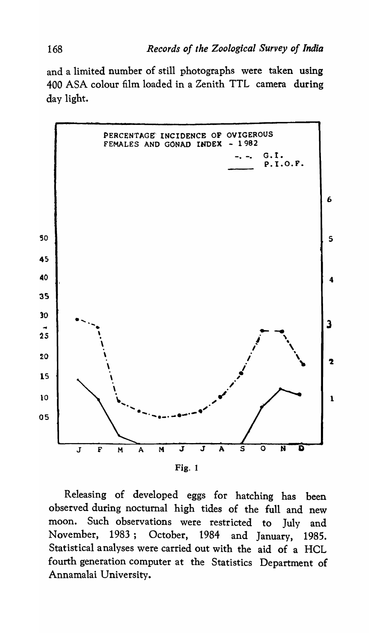and a limited number of still photographs were taken using 400 ASA colour film loaded in a Zenith TTL camera during day light.



Releasing of developed eggs for hatching has been observed during nocturnal high tides of the full and new moon. Such observations were restricted to July and November, 1983; October, 1984 and January, 1985. Statistical analyses were carried out with the aid of a HCL fourth generation computer at the Statistics Department of Annamalai University.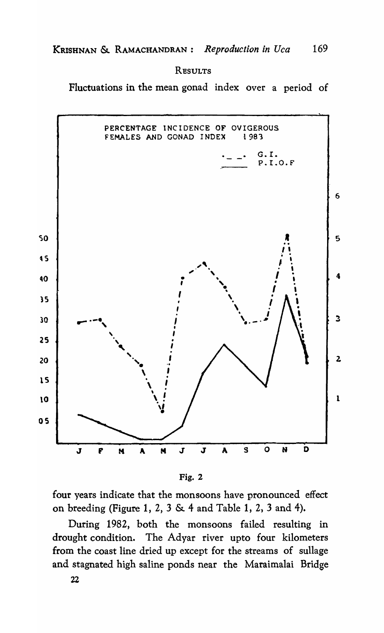RESULTS

Fluctuations in the mean gonad index over a period of





four years indicate that the monsoons have pronounced effect on breeding (Figure 1, 2, 3 & 4 and Table 1, 2, 3 and 4).

During 1982, both the monsoons failed resulting in drought condition. The Adyar river upto four kilometers from the coast line dried up except for the streams of sullage and stagnated high saline ponds near the Maraimalai Bridge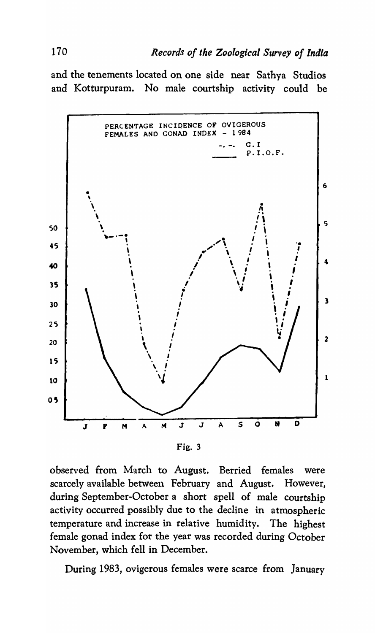and the tenements located on one side near Sathya Studios and Kotturpuram. No male courtship activity could be



observed from March to August. Berried females were scarcely available between February and August. However, during September-October a short spell of male courtship activity occurred possibly due to the decline in atmospheric temperature and increase in relative humidity. The highest female gonad index for the year was recorded during October November, which fell in December.

During 1983, ovigerous females were scarce from January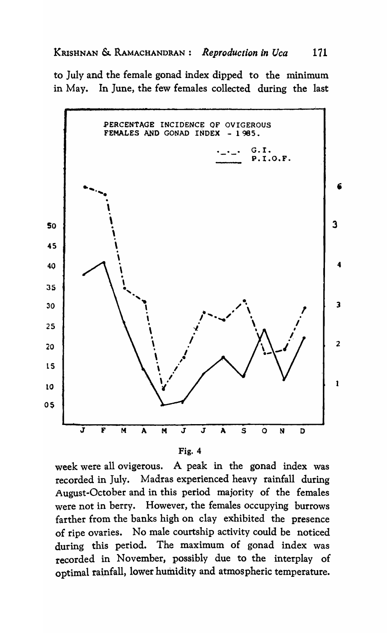to July and the female gonad index dipped to the minimum in May. In June, the few females collected during the last



| v |  |
|---|--|
|---|--|

week were all ovigerous. A peak in the gonad index was recorded in July. Madras experienced heavy rainfall during August-October and in this period majority of the females were not in berry. However, the females occupying burrows farther from the banks high on clay exhibited the presence of ripe ovaries. No male courtship activity could be noticed during this period. The maximum of gonad index was recorded in November, possibly due to the interplay of optimal rainfall, lower humidity and atmospheric temperature.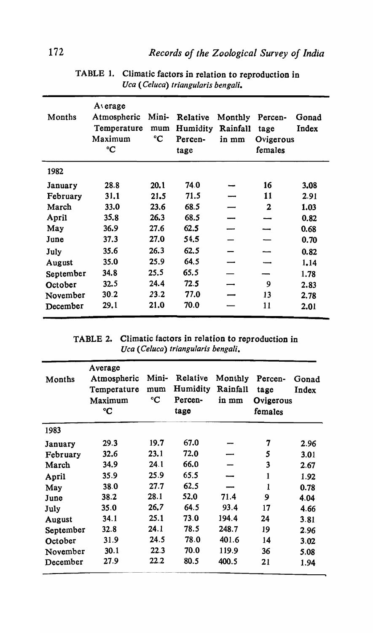| Months    | $A$ erage<br>Atmospheric<br>Temperature<br>Maximum<br>$\rm ^{\circ}C$ | Mini-<br>mum<br>$\rm ^{\circ}C$ | Relative<br>Humidity<br>Percen-<br>tage | Monthly<br>Rainfall<br>in mm | Percen-<br>tage<br>Ovigerous<br>females | Gonad<br>Index |
|-----------|-----------------------------------------------------------------------|---------------------------------|-----------------------------------------|------------------------------|-----------------------------------------|----------------|
| 1982      |                                                                       |                                 |                                         |                              |                                         |                |
| January   | 28.8                                                                  | 20.1                            | 74.0                                    |                              | 16                                      | 3.08           |
| February  | 31.1                                                                  | 21.5                            | 71.5                                    |                              | 11                                      | 2.91           |
| March     | 33.0                                                                  | 23.6                            | 68.5                                    |                              | $\mathbf{2}$                            | 1.03           |
| April     | 35.8                                                                  | 26.3                            | 68.5                                    |                              |                                         | 0.82           |
| May       | 36.9                                                                  | 27.6                            | 62.5                                    |                              |                                         | 0.68           |
| June      | 37.3                                                                  | 27.0                            | 54.5                                    |                              |                                         | 0.70           |
| July      | 35.6                                                                  | 26.3                            | 62.5                                    |                              |                                         | 0.82           |
| August    | 35.0                                                                  | 25.9                            | 64.5                                    |                              |                                         | 1.14           |
| September | 34.8                                                                  | 25.5                            | 65.5                                    |                              |                                         | 1.78           |
| October   | 32.5                                                                  | 24.4                            | 72.5                                    |                              | 9                                       | 2.83           |
| November  | 30.2                                                                  | 23.2                            | 77.0                                    |                              | 13                                      | 2.78           |
| December  | 29.1                                                                  | 21.0                            | 70.0                                    |                              | 11                                      | 2.01           |

TABLE 1. Climatic factors in relation to reproduction in *Uca (Ce/uca) triangularis bengali.* 

TABLE 2. Climatic factors in relation to reproduction in *Uca (Ce/uca) triangularis bengali.* 

| Months    | Average<br>Atmospheric<br>Temperature<br>Maximum<br>°C | Mini-<br>mum<br>$\rm ^{\circ}C$ | Relative<br>Humidity<br>Percen-<br>tage | Monthly<br>Rainfall<br>in mm | Percen-<br>tage<br>Ovigerous<br>females | Gonad<br>Index |
|-----------|--------------------------------------------------------|---------------------------------|-----------------------------------------|------------------------------|-----------------------------------------|----------------|
| 1983      |                                                        |                                 |                                         |                              |                                         |                |
| January   | 29.3                                                   | 19.7                            | 67.0                                    |                              | 7                                       | 2.96           |
| February  | 32.6                                                   | 23.1                            | 72.0                                    |                              | 5                                       | 3.01           |
| March     | 34.9                                                   | 24.1                            | 66.0                                    |                              | 3                                       | 2.67           |
| April     | 35.9                                                   | 25.9                            | 65.5                                    |                              | 1                                       | 1.92           |
| May       | 38.0                                                   | 27.7                            | 62.5                                    |                              | $\mathbf{1}$                            | 0.78           |
| June      | 38.2                                                   | 28.1                            | 52.0                                    | 71.4                         | 9                                       | 4.04           |
| July      | 35.0                                                   | 26.7                            | 64.5                                    | 93.4                         | 17                                      | 4.66           |
| August    | 34.1                                                   | 25.1                            | 73.0                                    | 194.4                        | 24                                      | 3.81           |
| September | 32.8                                                   | 24.1                            | 78.5                                    | 248.7                        | 19                                      | 2.96           |
| October   | 31.9                                                   | 24.5                            | 78.0                                    | 401.6                        | 14                                      | 3.02           |
| November  | 30.1                                                   | 22.3                            | 70.0                                    | 119.9                        | 36                                      | 5.08           |
| December  | 27.9                                                   | 22.2                            | 80.5                                    | 400.5                        | 21                                      | 1.94           |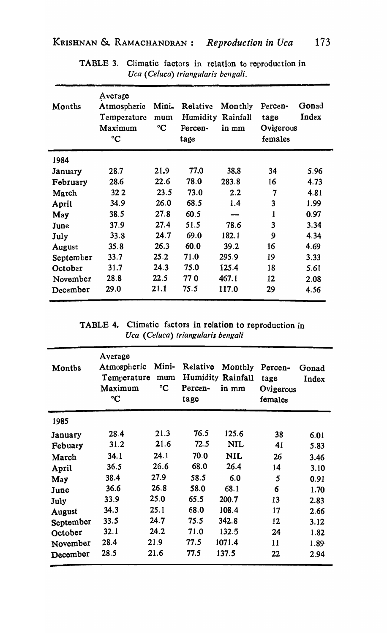| Months    | Average<br>Atmospheric<br>Temperature<br>Maximum<br>$\rm ^{\circ}C$ | Mini-<br>mum<br>$\rm ^{\circ}C$ | Relative<br>Humidity<br>Percen-<br>tage | Monthly<br>Rainfall<br>in mm | Percen-<br>tage<br>Ovigerous<br>females | Gonad<br>Index |
|-----------|---------------------------------------------------------------------|---------------------------------|-----------------------------------------|------------------------------|-----------------------------------------|----------------|
| 1984      |                                                                     |                                 |                                         |                              |                                         |                |
| January   | 28.7                                                                | 21.9                            | 77.0                                    | 38.8                         | 34                                      | 5.96           |
| February  | 28.6                                                                | 22.6                            | 78.0                                    | 283.8                        | 16                                      | 4.73           |
| March     | 32 2                                                                | 23.5                            | 73.0                                    | 2.2                          | 7                                       | 4.81           |
| April     | 34.9                                                                | 26.0                            | 68.5                                    | 1.4                          | 3                                       | 1.99           |
| May       | 38.5                                                                | 27.8                            | 60.5                                    |                              | $\mathbf{1}$                            | 0.97           |
| June      | 37.9                                                                | 27.4                            | 51.5                                    | 78.6                         | 3                                       | 3.34           |
| July      | 33.8                                                                | 24.7                            | 69.0                                    | 182.1                        | 9                                       | 4.34           |
| August    | 35.8                                                                | 26.3                            | 60.0                                    | 39.2                         | 16                                      | 4.69           |
| September | 33.7                                                                | 25.2                            | 71.0                                    | 295.9                        | 19                                      | 3.33           |
| October   | 31.7                                                                | 24.3                            | 75.0                                    | 125.4                        | 18                                      | 5.61           |
| November  | 28.8                                                                | 22.5                            | <b>770</b>                              | 467.1                        | 12                                      | 2.08           |
| December  | 29.0                                                                | 21.1                            | 75.5                                    | 117.0                        | 29                                      | 4.56           |

TABLE 3. Climatic factors in relation to reproduction in *Uca (Celuca) triangularis bengali.* 

TABLE 4. Climatic factors in relation to reproduction in *Uca (Celuca) triangularis bengali* 

| Months    | Average<br>Atmospheric<br>Temperature<br>Maximum<br>°C | Mini-<br>mum<br>°C | Relative<br>Percen-<br>tage | Monthly<br>Humidity Rainfall<br>in mm | Percen-<br>tage<br>Ovigerous<br>females | Gonad<br>Index |
|-----------|--------------------------------------------------------|--------------------|-----------------------------|---------------------------------------|-----------------------------------------|----------------|
| 1985      |                                                        |                    |                             |                                       |                                         |                |
| January   | 28.4                                                   | 21.3               | 76.5                        | 125.6                                 | 38                                      | 6.01           |
| Febuary   | 31.2                                                   | 21.6               | 72.5                        | <b>NIL</b>                            | 41                                      | 5.83           |
| March     | 34.1                                                   | 24.1               | 70.0                        | <b>NIL</b>                            | 26                                      | 3.46           |
| April     | 36.5                                                   | 26.6               | 68.0                        | 26.4                                  | 14                                      | 3.10           |
| May       | 38.4                                                   | 27.9               | 58.5                        | 6.0                                   | 5                                       | 0.91           |
| June      | 36.6                                                   | 26.8               | 58.0                        | 68.1                                  | 6                                       | 1.70           |
| July      | 33.9                                                   | 25.0               | 65.5                        | 200.7                                 | 13                                      | 2.83           |
| August    | 34.3                                                   | 25.1               | 68.0                        | 108.4                                 | 17                                      | 2.66           |
| September | 33.5                                                   | 24.7               | 75.5                        | 342.8                                 | 12                                      | 3.12           |
| October   | 32.1                                                   | 24.2               | 71.0                        | 132.5                                 | 24                                      | 1.82           |
| November  | 28.4                                                   | 21.9               | 77.5                        | 1071.4                                | 11                                      | $1.89 -$       |
| December  | 28.5                                                   | 21.6               | 77.5                        | 137.5                                 | 22                                      | 2.94           |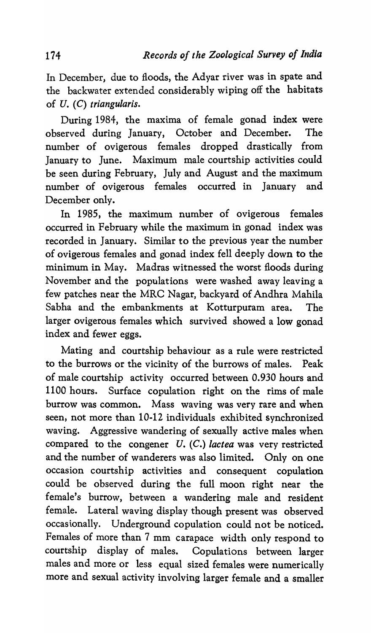In December, due to floods, the Adyar river was in spate and the backwater extended considerably wiping off the habitats of *U. (C) triangularis.* 

During 1984, the maxima of female gonad index were observed during January, October and December. The number of ovigerous females dropped drastically from January to June. Maximum male courtship activities could be seen during February, July and August and the maximum number of ovigerous females occurred in January and December only.

In 1985, the maximum number of ovigerous females occurred in February while the maximum in gonad index was recorded in January. Similar to the previous year the number of ovigerous females and gonad index fell deeply down to the minimum in May. Madras witnessed the worst floods during November and the populations were washed away leaving a few patches near the MRC Nagar, backyard of Andhra Mahila Sabha and the embankments at Kotturpuram area. The larger ovigerous females which survived showed a low gonad index and fewer eggs.

Mating and courtship behaviour as a rule were restricted to the burrows or the vicinity of the burrows of males. Peak of male courtship activity occurred between 0.930 hours and 1100 hours. Surface copulation right on the rims of male burrow was common. Mass waving was very rare and when seen, not more than 10-12 individuals exhibited synchronized waving. Aggressive wandering of sexually active males when compared to the congener *U. (C.) lactea* was very restricted and the number of wanderers was also limited. Only on one occasion courtship activities and consequent copulation could be observed during the full moon right near the female's burrow, between a wandering male and resident female. Lateral waving display though present was observed occasionally. Underground copulation could not be noticed. Females of more than 7 mm carapace width only respond to courtship display of males. Copulations between larger males and more or less equal sized females were numerically more and sexual activity involving larger female and a smaller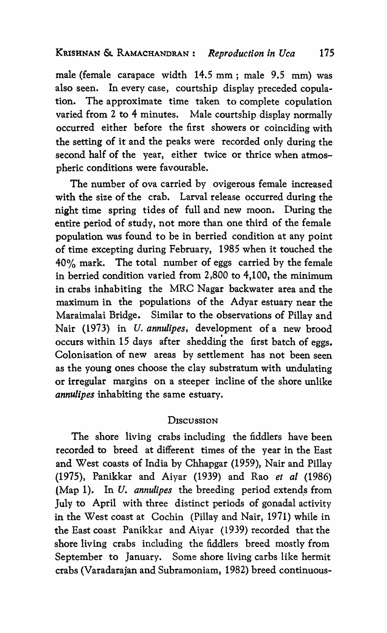male (female carapace width 14.5 mm; male 9.5 mm) was also seen. In every case, courtship display preceded copulation. The approximate time taken to complete copulation varied from 2 to 4 minutes. Male courtship display normally occurred either before the first showers or coinciding with the setting of it and the peaks were recorded only during the second half of the year, either twice or thrice when atmospheric conditions were favourable.

The number of ova carried by ovigerous female increased with the size of the crab. Larval release occurred during the night time spring tides of full and new moon. During the entire period of study, not more than one third of the female population was found to be in berried condition at any point of time excepting during February, 1985 when it touched the 40% mark. The total number of eggs carried by the female in berried condition varied from 2,800 to 4,100, the minimum in crabs inhabiting the MRC Nagar backwater area and the maximum in the populations of the Adyar estuary near the Maraimalai Bridge. Similar to the observations of Pillay and Nair (1973) in U. *annulipes,* development of a new brood event (1996) in the manufact, in the parties of a new second Colonisation of new areas by settlement has not been seen as the young ones choose the clay substratum with undulating or irregular margins on a steeper incline of the shore unlike *annulipes* inhabiting the same estuary.

## **DISCUSSION**

The shore living crabs including the fiddlers have been recorded to breed at different times of the year in the East and West coasts of India by Chhapgar (1959), Nair and Pillay (1975), Panikkar and Aiyar (1939) and Rao *et al (1986)*  (Map 1). In  $U$ . *annulipes* the breeding period extends from July to April with three distinct periods of gonadal activity in the West coast at Cochin (Pillay and Nair, 1971) while in the East coast Panikkar and Aiyar (1939) recorded that the shore living crabs including the fiddlers breed mostly from September to January. Some shore living carbs like hermit crabs (Varadarajan and Subramoniam, 1982) breed continuous-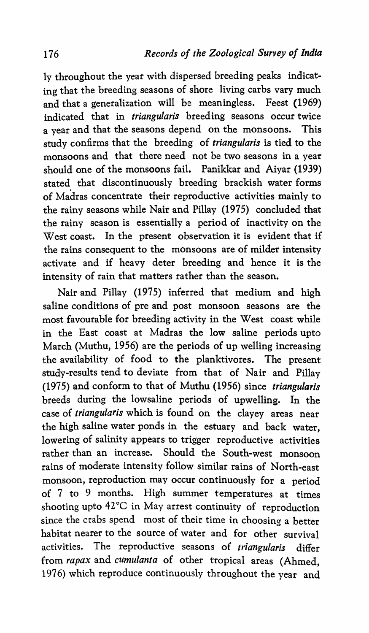ly throughout the year with dispersed breeding peaks indicating that the breeding seasons of shore living carbs vary much and that a generalization will be meaningless. Feest (1969) indicated that in *triangularis* breeding seasons occur twice a year and that the seasons depend on the monsoons. This study confirms that the breeding of *triangularis* is tied to the monsoons and that there need not be two seasons in a year should one of the monsoons fail. Panikkar and Aiyar (1939) stated that discontinuously breeding brackish water forms of Madras concentrate their reproductive activities mainly to the rainy seasons while Nair and Pillay (1975) concluded that the rainy season is essentially a period of inactivity on the West coast. In the present observation it is evident that if the rains consequent to the monsoons are of milder intensity activate and if heavy deter breeding and hence it is the intensity of rain that matters rather than the season.

Nair and Pillay (1975) inferred that medium and high saline conditions of pre and post monsoon seasons are the most favourable for breeding activity in the West coast while in the East coast at Madras the low saline periods upto March (Muthu, 1956) are the periods of up welling increasing the availability of food to the planktivores. The present study-results tend to deviate from that of Nair and Pillay (1975) and conform to that of Muthu (1956) since *triangularis*  breeds during the lowsaline periods of upwelling. In the case of *triangularis* which is found on the clayey areas near the high saline water ponds in the estuary and back water, lowering of salinity appears to trigger reproductive activities rather than an increase. Should the South-west monsoon rains of moderate intensity follow similar rains of North-east monsoon, reproduction may occur continuously for a period of 7 to 9 months. High summer temperatures at times shooting upto 42°C in May arrest continuity of reproduction since the crabs spend most of their time in choosing a better habitat nearer to the source of water and for other survival activities. The reproductive seasons of *triangularis* differ from *rapax* and *cumulanta* of other tropical areas (Ahmed, 1976) which reproduce continuously throughout the year and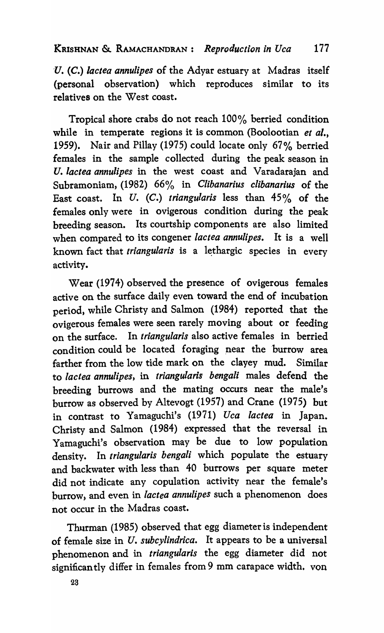*'U. (C.) lactea annulipes* of the Adyar estuary at Madras itself (personal observation) which reproduces similar to its relatives on the West coast.

Tropical shore crabs do not reach 100% berried condition while in temperate regions it is common (Boolootian *et al.,*  1959). Nair and Pillay (1975) could locate only 67% berried females in the sample collected during the peak season in *U. lactea annulipes* in the west coast and Varadarajan and Subramoniam, (1982) 66% in *Clibanarius clibanarius* of the East coast. In *U. (C.) triangularis* less than 45% of the females only were in ovigerous condition during the peak breeding season. Its courtship components are also limited when compared to its congener *lactea annulipes*. It is a well known fact that *triangularis* is a lethargic species in every activity.

Wear (1974) observed the presence of ovigerous females active on the surface daily even toward the end of incubation period, while Christy and Salmon (1984) reported that the ovigerous females were seen rarely moving about or feeding on the surface. In *triangularis* also active females in berried condition could be located foraging near the burrow area farther from the low tide mark on the clayey mud. Similar to *lactea annulipes,* in *triangularis bengali* males defend the breeding burrows and the mating occurs near the male's burrow as observed by Altevogt (1957) and Crane (1975) but in contrast to Yamaguchi's (1971) *Uca lactea* in Japan. Christy and Salmon (1984) expressed that the reversal in Yamaguchi's observation may be due to low population density. In *triangularis bengali* which populate the estuary and backwater with less than 40 burrows per square meter did not indicate any copulation activity near the female's purrow, and even in *lactea annulipes* such a phenomenon does not occur in the Madras coast.

Thurman (1985) observed that egg diameter is independent of female size in *U. subcylindrica.* It appears to be a universal phenomenon and in *triangularis* the egg diameter did not significan tly differ in females from 9 mm carapace width. von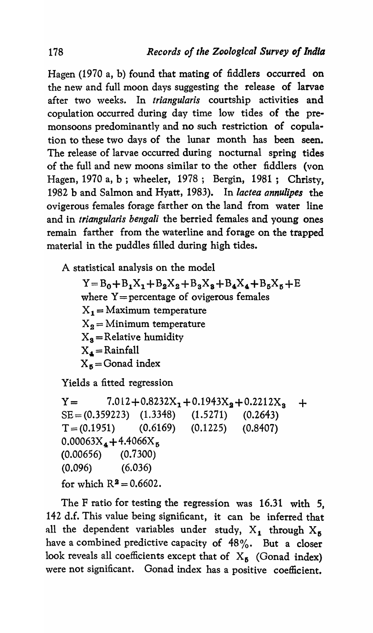Hagen (1970 a, b) found that mating of fiddlers occurred on the new and full moon days suggesting the release of larvae after two weeks. In *triangularis* courtship activities and copulation occurred during day time low tides of the premonsoons predominantly and no such restriction of copulation to these two days of the lunar month has been seen. The release of larvae occurred during nocturnal spring tides of the full and new moons similar to the other fiddlers (von Hagen, 1970 a, b ; wheeler, 1978; Bergin, 1981; Christy, 1982 b and Salmon and Hyatt, 1983). In *lactea annulipes* the ovigerous females forage farther on the land from water line and in *triangularis bengali* the berried females and young ones remain farther from the waterline and forage on the trapped material in the puddles filled during high tides.

A statistical analysis on the model

 $Y = B_0 + B_1X_1 + B_2X_2 + B_3X_3 + B_4X_4 + B_5X_5 + E$ where  $Y =$  percentage of ovigerous females  $X_1 =$ Maximum temperature  $X_2 =$ Minimum temperature  $X_s$  = Relative humidity  $X_4 =$  Rainfall  $X_5$  = Gonad index

Yields a fitted regression

 $Y = 7.012 + 0.8232X_1 + 0.1943X_2 + 0.2212X_3 +$ SE= (0.359223) (1.3348) (1.5271) (0.2643)  $T = (0.1951)$   $(0.6169)$   $(0.1225)$   $(0.8407)$  $0.00063X_4 + 4.4066X_5$ (0.00656) (0.7300) (0.096) (6.036) for which  $R^2 = 0.6602$ .

The F ratio for testing the regression was 16.31 with 5, 142 d.f. This value being significant, it can be inferred that all the dependent variables under study,  $X_1$  through  $X_5$ have a combined predictive capacity of 48%. But a closer look reveals all coefficients except that of  $X_5$  (Gonad index) were not significant. Gonad index has a positive coefficient.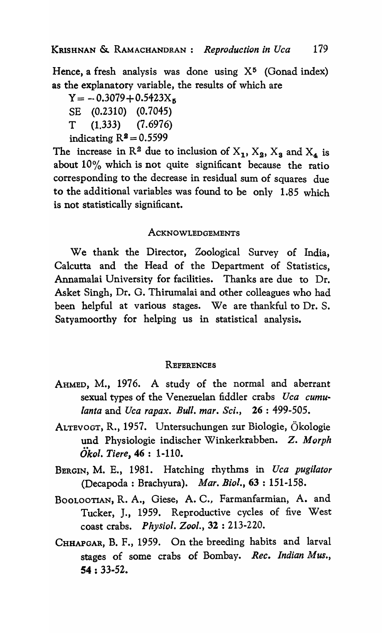Hence, a fresh analysis was done using  $X<sup>5</sup>$  (Gonad index) as the explanatory variable, the results of which are

 $Y = -0.3079 + 0.5423X_5$ SE (0.2310) (0.7045) T (1.333) (7.6976) indicating  $R^2 = 0.5599$ 

The increase in  $\mathbb{R}^2$  due to inclusion of  $X_1, X_2, X_3$  and  $X_4$  is about 10% which is not quite significant because the ratio corresponding to the decrease in residual sum of squares due to the additional variables was found to be only 1.85 which is not statistically significant.

## ACKNOWLEDGEMENTS

We thank the Director, Zoological Survey of India, Calcutta and the Head of the Department of Statistics, Annamalai University for facilities. Thanks are due to Dr. Asket Singh, Dr. G. Thirumalai and other colleagues who had been helpful at various stages. We are thankful to Dr. S. Satyamoorthy for helping us in statistical analysis.

### **REFERENCES**

- AHMED, M., 1976. A study of the normal and aberrant sexual types of the Venezuelan fiddler crabs *Uca cumulanta* and *Uca rapax. Bull. mar. Sci.,* 26: 499-505.
- ALTEVOGT, R., 1957. Untersuchungen zur Biologie, Okologie und Physiologie indischer Winkerkrabben. Z. *Morph Okol. Tiere,* 46 : 1-110.
- BERGIN, M. E., 1981. Hatching rhythms in *Uca pugilator*  (Decapoda : Brachyura). *Mar. Bioi.,* 63 : 151-158.
- BOOLOOTIAN, R. A., Giese, A. C., Farmanfarmian, A. and Tucker, J., 1959. Reproductive cycles of five West coast crabs. *Physiol. Zool.,* 32 : 213-220.
- CHHAPGAR, B. F., 1959. On the breeding habits and larval stages of some crabs of Bombay. *Rec. Indian Mus.,*  54 : 33·52.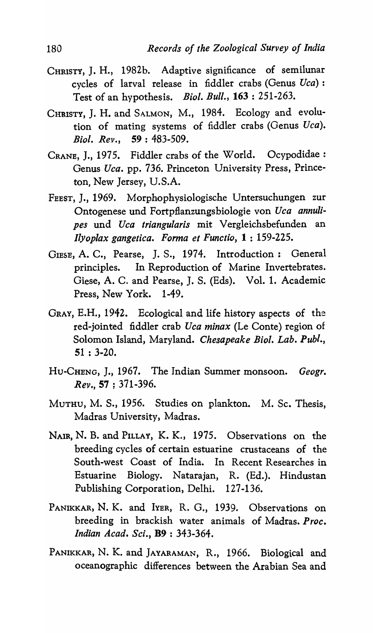- CHRISTY, J. H., 1982b. Adaptive significance of semilunar cycles of larval release in fiddler crabs (Genus *Uca) :*  Test of an hypothesis. *Bioi. Bull.,* 163 : 251-263.
- CHRISTY, J. H. and SALMON, M., 1984. Ecology and evolution of mating systems of fiddler crabs (Genus *Uca). Bioi. Rev.,* 59: 483-509.
- CRANE, J., 1975. Fiddler crabs of the World. Ocypodidae: Genus *Uca.* pp. 736. Princeton University Press, Princeton, New Jersey, U.S.A.
- FEEST, J., 1969. Morphophysiologische Untersuchungen zur Ontogenese und Fortpflanzungsbiologie von *Uca annulipes* und *Uca triangularis* mit Vergleichsbefunden an *[lyoplax gangetica. Forma et Functio,* 1 : 159-225.
- GIESE, A. C., Pearse, J. S., 1974. Introduction: General principles. In Reproduction of Marine Invertebrates. Giese, A. C. and Pearse, J. S. (Eds). Vol. 1. Academic Press, New York. 1-49.
- GRAY, E.H., 1942. Ecological and life history aspects of the red-jointed fiddler crab *Uca minax* (Le Conte) region of Solomon Island, Maryland. *Chesapeake Bioi. Lab. Publ.,*  51 : 3-20.
- HU-CHENG, J., 1967. The Indian Summer monsoon. *Geogr. Rev.,* 57 ; 371-396.
- MUTHU, M. S., 1956. Studies on plankton. M. Sc. Thesis, Madras University, Madras.
- NAIR, N. B. and PILLAY, K. K., 1975. Observations on the breeding cycles of certain estuarine crustaceans of the South-west Coast of India. In Recent Researches in Estuarine Biology. Natarajan, R. (Ed.). Hindustan Publishing Corporation, Delhi. 127-136.
- PANIKKAR, N. K. and IYER, R. G., 1939. Observations on breeding in brackish water animals of Madras. *Proc. Indian Acad. Sci.,* B9 : 343-364.
- PANIKKAR, N. K. and JAYARAMAN, R., 1966. Biological and oceanographic differences between the Arabian Sea and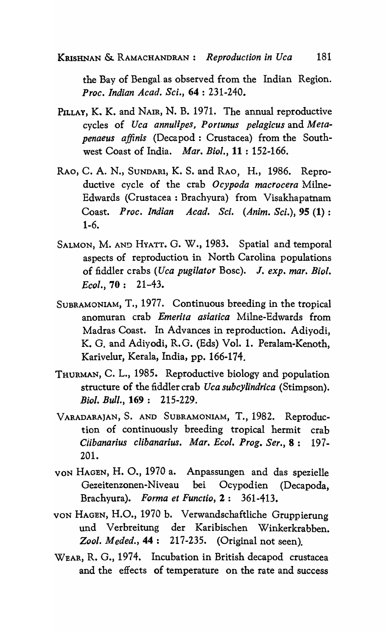the Bay of Bengal. as observed from the Indian Region. *Proc. Indian Acad. Sci.,* 64 : 231-240.

- PILLAY, K. K. and NAIR, N. B. 1971. The annual reproductive cycles of *Uca annulipes, Portunus pelagicus* and *Metapenaeus affinis* (Decapod: Crustacea) from the Southwest Coast of India. *Mar. Bioi.,* 11 : 152-166.
- RAO, C. A. N., SUNDARl, K. S. and RAO, H., 1986. Reproductive cycle of the crab *Ocypoda macrocera* Milne-Edwards (Crustacea: Brachyura) from Visakhapatnam Coast. *Proc. Indian A cad. Sci. (Anim. Sci.),* 95 (1) : 1-6.
- SALMON, M. AN~ HYATT. G. W., 1983. Spatial and temporal aspects of reproduction in North Carolina populations of fiddler crabs *(Uca pugilator* Bose). J. *exp. mar. Bioi. Ecol.,* 70: 21-43.
- SUBRAMONIAM, T., 1977. Continuous breeding in the tropical anomuran crab *Emerita asiatica* Milne-Edwards from Madras Coast. In Advances in reproduction. Adiyodi, K. G. and Adiyodi, R.G. (Eds) Vol. 1. Peralam-Kenoth, Karivelur, Kerala, India, pp. 166-174.
- THURMAN, C. L., 1985. Reproductive biology and population structure of the fiddler crab *Uca subcylindrica* (Stimpson). *Bioi. Bull.,* 169: 215-229.
- VARADARAJAN, S. AND SUBRAMONIAM, T., 1982. Reproduction of continuously breeding tropical hermit crab *Ciibanarius clibanarius. Mar. Ecol. Prog. Ser.,* 8: 197- 201.
- VON HAGEN, H. 0., 1970 a. Anpassungen and das spezielle Gezeitenzonen-Niveau bei Ocypodien (Decapoda, Brachyura). *Forma et Functio,* 2: 361-413.
- VON HAGEN, H.O., 1970 b. Verwandschaftliche Gruppierung und Verbreitung der Karibischen Winkerkrabben. *Zool. M eded.,* 44: 217 -235. (Original not seen).
- WEAR, R. G., 1974. Incubation in British decapod crustacea and the effects of temperature on the rate and success